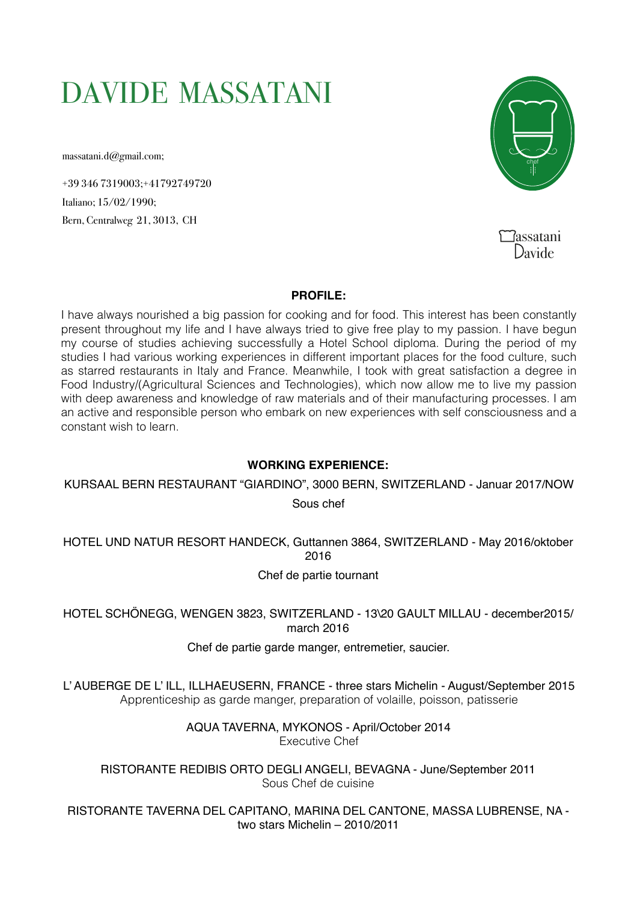# DAVIDE MASSATANI

massatani.d@gmail.com;

+39 346 7319003;+41792749720 Italiano; 15/02/1990; Bern, Centralweg 21, 3013, CH



assatani  $\sum_{\text{avide}}$ 

## **PROFILE:**

I have always nourished a big passion for cooking and for food. This interest has been constantly present throughout my life and I have always tried to give free play to my passion. I have begun my course of studies achieving successfully a Hotel School diploma. During the period of my studies I had various working experiences in different important places for the food culture, such as starred restaurants in Italy and France. Meanwhile, I took with great satisfaction a degree in Food Industry/(Agricultural Sciences and Technologies), which now allow me to live my passion with deep awareness and knowledge of raw materials and of their manufacturing processes. I am an active and responsible person who embark on new experiences with self consciousness and a constant wish to learn.

## **WORKING EXPERIENCE:**

KURSAAL BERN RESTAURANT "GIARDINO", 3000 BERN, SWITZERLAND - Januar 2017/NOW

Sous chef

HOTEL UND NATUR RESORT HANDECK, Guttannen 3864, SWITZERLAND - May 2016/oktober 2016

Chef de partie tournant

HOTEL SCHÖNEGG, WENGEN 3823, SWITZERLAND - 13\20 GAULT MILLAU - december2015/ march 2016

## Chef de partie garde manger, entremetier, saucier.

L' AUBERGE DE L' ILL, ILLHAEUSERN, FRANCE - three stars Michelin - August/September 2015 Apprenticeship as garde manger, preparation of volaille, poisson, patisserie

> AQUA TAVERNA, MYKONOS - April/October 2014 Executive Chef

RISTORANTE REDIBIS ORTO DEGLI ANGELI, BEVAGNA - June/September 2011 Sous Chef de cuisine

RISTORANTE TAVERNA DEL CAPITANO, MARINA DEL CANTONE, MASSA LUBRENSE, NA two stars Michelin – 2010/2011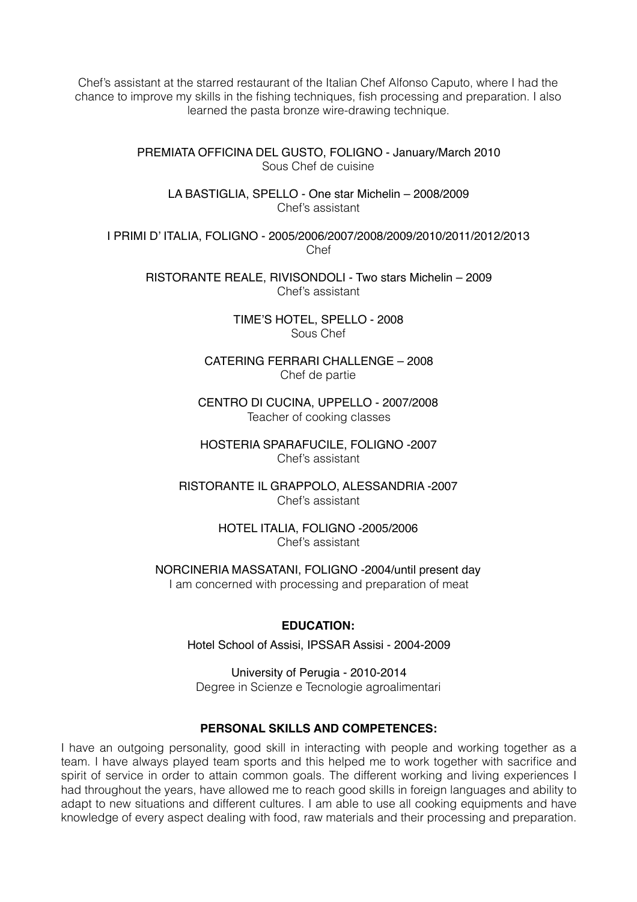Chef's assistant at the starred restaurant of the Italian Chef Alfonso Caputo, where I had the chance to improve my skills in the fishing techniques, fish processing and preparation. I also learned the pasta bronze wire-drawing technique.

> PREMIATA OFFICINA DEL GUSTO, FOLIGNO - January/March 2010 Sous Chef de cuisine

LA BASTIGLIA, SPELLO - One star Michelin – 2008/2009 Chef's assistant

I PRIMI D' ITALIA, FOLIGNO - 2005/2006/2007/2008/2009/2010/2011/2012/2013 Chef

RISTORANTE REALE, RIVISONDOLI - Two stars Michelin – 2009 Chef's assistant

> TIME'S HOTEL, SPELLO - 2008 Sous Chef

CATERING FERRARI CHALLENGE – 2008 Chef de partie

CENTRO DI CUCINA, UPPELLO - 2007/2008 Teacher of cooking classes

HOSTERIA SPARAFUCILE, FOLIGNO -2007 Chef's assistant

RISTORANTE IL GRAPPOLO, ALESSANDRIA -2007 Chef's assistant

> HOTEL ITALIA, FOLIGNO -2005/2006 Chef's assistant

NORCINERIA MASSATANI, FOLIGNO -2004/until present day I am concerned with processing and preparation of meat

#### **EDUCATION:**

Hotel School of Assisi, IPSSAR Assisi - 2004-2009

University of Perugia - 2010-2014 Degree in Scienze e Tecnologie agroalimentari

#### **PERSONAL SKILLS AND COMPETENCES:**

I have an outgoing personality, good skill in interacting with people and working together as a team. I have always played team sports and this helped me to work together with sacrifice and spirit of service in order to attain common goals. The different working and living experiences I had throughout the years, have allowed me to reach good skills in foreign languages and ability to adapt to new situations and different cultures. I am able to use all cooking equipments and have knowledge of every aspect dealing with food, raw materials and their processing and preparation.